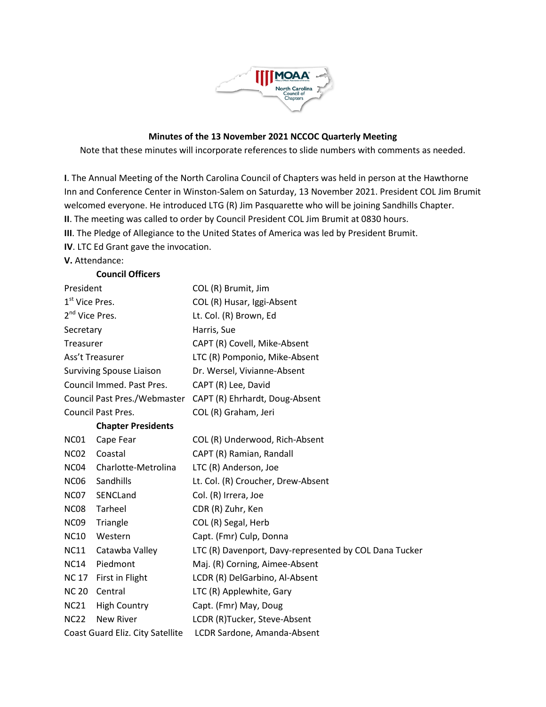

## **Minutes of the 13 November 2021 NCCOC Quarterly Meeting**

Note that these minutes will incorporate references to slide numbers with comments as needed.

**I**. The Annual Meeting of the North Carolina Council of Chapters was held in person at the Hawthorne Inn and Conference Center in Winston-Salem on Saturday, 13 November 2021. President COL Jim Brumit welcomed everyone. He introduced LTG (R) Jim Pasquarette who will be joining Sandhills Chapter. **II**. The meeting was called to order by Council President COL Jim Brumit at 0830 hours.

**III**. The Pledge of Allegiance to the United States of America was led by President Brumit.

**IV**. LTC Ed Grant gave the invocation.

**Council Officers**

## **V.** Attendance:

|                                  | COUNCIL OTHERS            |                                                        |
|----------------------------------|---------------------------|--------------------------------------------------------|
| President                        |                           | COL (R) Brumit, Jim                                    |
| 1 <sup>st</sup> Vice Pres.       |                           | COL (R) Husar, Iggi-Absent                             |
| 2 <sup>nd</sup> Vice Pres.       |                           | Lt. Col. (R) Brown, Ed                                 |
| Secretary                        |                           | Harris, Sue                                            |
| Treasurer                        |                           | CAPT (R) Covell, Mike-Absent                           |
| Ass't Treasurer                  |                           | LTC (R) Pomponio, Mike-Absent                          |
| <b>Surviving Spouse Liaison</b>  |                           | Dr. Wersel, Vivianne-Absent                            |
| Council Immed. Past Pres.        |                           | CAPT (R) Lee, David                                    |
| Council Past Pres./Webmaster     |                           | CAPT (R) Ehrhardt, Doug-Absent                         |
| <b>Council Past Pres.</b>        |                           | COL (R) Graham, Jeri                                   |
|                                  | <b>Chapter Presidents</b> |                                                        |
| NC01                             | Cape Fear                 | COL (R) Underwood, Rich-Absent                         |
| <b>NC02</b>                      | Coastal                   | CAPT (R) Ramian, Randall                               |
| NC04                             | Charlotte-Metrolina       | LTC (R) Anderson, Joe                                  |
| <b>NC06</b>                      | Sandhills                 | Lt. Col. (R) Croucher, Drew-Absent                     |
| NC07                             | SENCLand                  | Col. (R) Irrera, Joe                                   |
| <b>NC08</b>                      | Tarheel                   | CDR (R) Zuhr, Ken                                      |
| NC <sub>09</sub>                 | Triangle                  | COL (R) Segal, Herb                                    |
| <b>NC10</b>                      | Western                   | Capt. (Fmr) Culp, Donna                                |
| <b>NC11</b>                      | Catawba Valley            | LTC (R) Davenport, Davy-represented by COL Dana Tucker |
| <b>NC14</b>                      | Piedmont                  | Maj. (R) Corning, Aimee-Absent                         |
| <b>NC 17</b>                     | First in Flight           | LCDR (R) DelGarbino, Al-Absent                         |
| <b>NC 20</b>                     | Central                   | LTC (R) Applewhite, Gary                               |
| <b>NC21</b>                      | <b>High Country</b>       | Capt. (Fmr) May, Doug                                  |
| <b>NC22</b>                      | New River                 | LCDR (R)Tucker, Steve-Absent                           |
| Coast Guard Eliz. City Satellite |                           | LCDR Sardone, Amanda-Absent                            |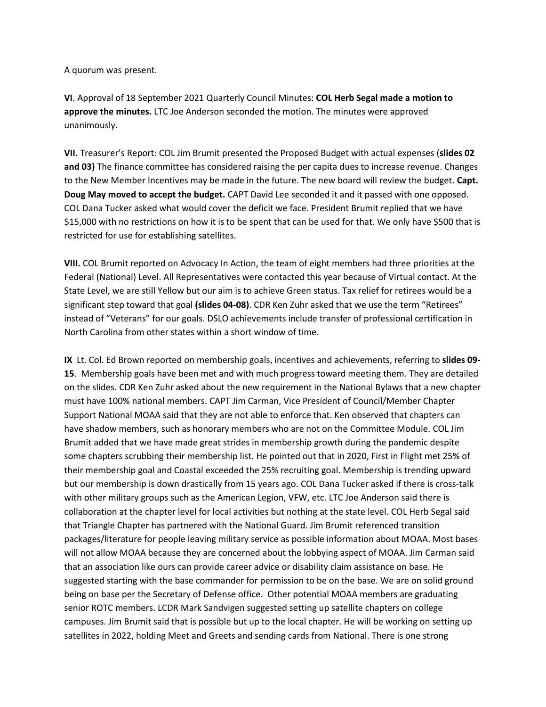A quorum was present.

**VI**. Approval of 18 September 2021 Quarterly Council Minutes: **COL Herb Segal made a motion to approve the minutes.** LTC Joe Anderson seconded the motion. The minutes were approved unanimously.

**VII**. Treasurer's Report: COL Jim Brumit presented the Proposed Budget with actual expenses (**slides 02 and 03)** The finance committee has considered raising the per capita dues to increase revenue. Changes to the New Member Incentives may be made in the future. The new board will review the budget. **Capt. Doug May moved to accept the budget.** CAPT David Lee seconded it and it passed with one opposed. COL Dana Tucker asked what would cover the deficit we face. President Brumit replied that we have \$15,000 with no restrictions on how it is to be spent that can be used for that. We only have \$500 that is restricted for use for establishing satellites.

**VIII.** COL Brumit reported on Advocacy In Action, the team of eight members had three priorities at the Federal (National) Level. All Representatives were contacted this year because of Virtual contact. At the State Level, we are still Yellow but our aim is to achieve Green status. Tax relief for retirees would be a significant step toward that goal **(slides 04-08)**. CDR Ken Zuhr asked that we use the term "Retirees" instead of "Veterans" for our goals. DSLO achievements include transfer of professional certification in North Carolina from other states within a short window of time.

**IX** Lt. Col. Ed Brown reported on membership goals, incentives and achievements, referring to **slides 09- 15**. Membership goals have been met and with much progress toward meeting them. They are detailed on the slides. CDR Ken Zuhr asked about the new requirement in the National Bylaws that a new chapter must have 100% national members. CAPT Jim Carman, Vice President of Council/Member Chapter Support National MOAA said that they are not able to enforce that. Ken observed that chapters can have shadow members, such as honorary members who are not on the Committee Module. COL Jim Brumit added that we have made great strides in membership growth during the pandemic despite some chapters scrubbing their membership list. He pointed out that in 2020, First in Flight met 25% of their membership goal and Coastal exceeded the 25% recruiting goal. Membership is trending upward but our membership is down drastically from 15 years ago. COL Dana Tucker asked if there is cross-talk with other military groups such as the American Legion, VFW, etc. LTC Joe Anderson said there is collaboration at the chapter level for local activities but nothing at the state level. COL Herb Segal said that Triangle Chapter has partnered with the National Guard. Jim Brumit referenced transition packages/literature for people leaving military service as possible information about MOAA. Most bases will not allow MOAA because they are concerned about the lobbying aspect of MOAA. Jim Carman said that an association like ours can provide career advice or disability claim assistance on base. He suggested starting with the base commander for permission to be on the base. We are on solid ground being on base per the Secretary of Defense office. Other potential MOAA members are graduating senior ROTC members. LCDR Mark Sandvigen suggested setting up satellite chapters on college campuses. Jim Brumit said that is possible but up to the local chapter. He will be working on setting up satellites in 2022, holding Meet and Greets and sending cards from National. There is one strong